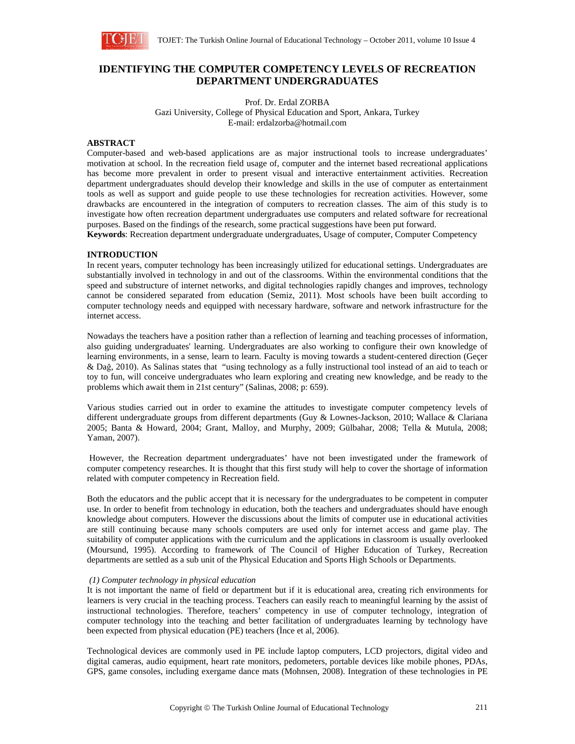

# **IDENTIFYING THE COMPUTER COMPETENCY LEVELS OF RECREATION DEPARTMENT UNDERGRADUATES**

Prof. Dr. Erdal ZORBA Gazi University, College of Physical Education and Sport, Ankara, Turkey E-mail: erdalzorba@hotmail.com

# **ABSTRACT**

Computer-based and web-based applications are as major instructional tools to increase undergraduates' motivation at school. In the recreation field usage of, computer and the internet based recreational applications has become more prevalent in order to present visual and interactive entertainment activities. Recreation department undergraduates should develop their knowledge and skills in the use of computer as entertainment tools as well as support and guide people to use these technologies for recreation activities. However, some drawbacks are encountered in the integration of computers to recreation classes. The aim of this study is to investigate how often recreation department undergraduates use computers and related software for recreational purposes. Based on the findings of the research, some practical suggestions have been put forward.

**Keywords**: Recreation department undergraduate undergraduates, Usage of computer, Computer Competency

# **INTRODUCTION**

In recent years, computer technology has been increasingly utilized for educational settings. Undergraduates are substantially involved in technology in and out of the classrooms. Within the environmental conditions that the speed and substructure of internet networks, and digital technologies rapidly changes and improves, technology cannot be considered separated from education (Semiz, 2011). Most schools have been built according to computer technology needs and equipped with necessary hardware, software and network infrastructure for the internet access.

Nowadays the teachers have a position rather than a reflection of learning and teaching processes of information, also guiding undergraduates' learning. Undergraduates are also working to configure their own knowledge of learning environments, in a sense, learn to learn. Faculty is moving towards a student-centered direction (Geçer & Dağ, 2010). As Salinas states that "using technology as a fully instructional tool instead of an aid to teach or toy to fun, will conceive undergraduates who learn exploring and creating new knowledge, and be ready to the problems which await them in 21st century" (Salinas, 2008; p: 659).

Various studies carried out in order to examine the attitudes to investigate computer competency levels of different undergraduate groups from different departments (Guy & Lownes-Jackson, 2010; Wallace & Clariana 2005; Banta & Howard, 2004; Grant, Malloy, and Murphy, 2009; Gülbahar, 2008; Tella & Mutula, 2008; Yaman, 2007).

 However, the Recreation department undergraduates' have not been investigated under the framework of computer competency researches. It is thought that this first study will help to cover the shortage of information related with computer competency in Recreation field.

Both the educators and the public accept that it is necessary for the undergraduates to be competent in computer use. In order to benefit from technology in education, both the teachers and undergraduates should have enough knowledge about computers. However the discussions about the limits of computer use in educational activities are still continuing because many schools computers are used only for internet access and game play. The suitability of computer applications with the curriculum and the applications in classroom is usually overlooked (Moursund, 1995). According to framework of The Council of Higher Education of Turkey, Recreation departments are settled as a sub unit of the Physical Education and Sports High Schools or Departments.

### *(1) Computer technology in physical education*

It is not important the name of field or department but if it is educational area, creating rich environments for learners is very crucial in the teaching process. Teachers can easily reach to meaningful learning by the assist of instructional technologies. Therefore, teachers' competency in use of computer technology, integration of computer technology into the teaching and better facilitation of undergraduates learning by technology have been expected from physical education (PE) teachers (İnce et al, 2006).

Technological devices are commonly used in PE include laptop computers, LCD projectors, digital video and digital cameras, audio equipment, heart rate monitors, pedometers, portable devices like mobile phones, PDAs, GPS, game consoles, including exergame dance mats (Mohnsen, 2008). Integration of these technologies in PE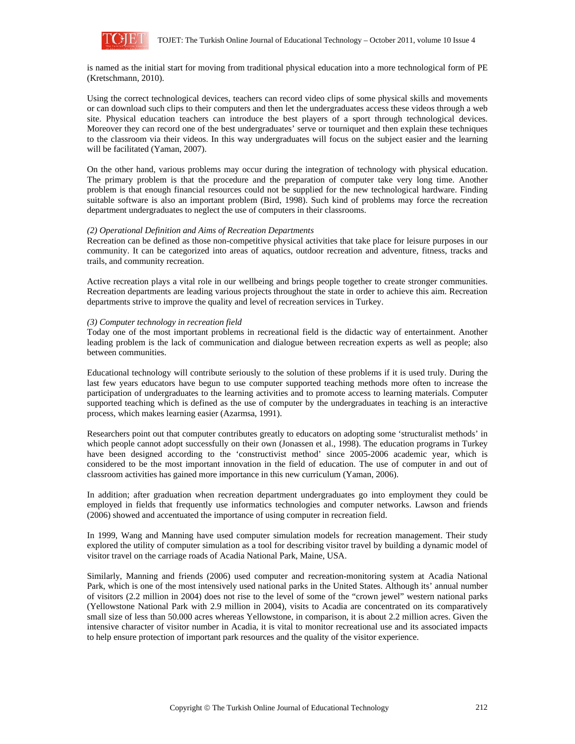

is named as the initial start for moving from traditional physical education into a more technological form of PE (Kretschmann, 2010).

Using the correct technological devices, teachers can record video clips of some physical skills and movements or can download such clips to their computers and then let the undergraduates access these videos through a web site. Physical education teachers can introduce the best players of a sport through technological devices. Moreover they can record one of the best undergraduates' serve or tourniquet and then explain these techniques to the classroom via their videos. In this way undergraduates will focus on the subject easier and the learning will be facilitated (Yaman, 2007).

On the other hand, various problems may occur during the integration of technology with physical education. The primary problem is that the procedure and the preparation of computer take very long time. Another problem is that enough financial resources could not be supplied for the new technological hardware. Finding suitable software is also an important problem (Bird, 1998). Such kind of problems may force the recreation department undergraduates to neglect the use of computers in their classrooms.

#### *(2) Operational Definition and Aims of Recreation Departments*

Recreation can be defined as those non-competitive physical activities that take place for leisure purposes in our community. It can be categorized into areas of aquatics, outdoor recreation and adventure, fitness, tracks and trails, and community recreation.

Active recreation plays a vital role in our wellbeing and brings people together to create stronger communities. Recreation departments are leading various projects throughout the state in order to achieve this aim. Recreation departments strive to improve the quality and level of recreation services in Turkey.

# *(3) Computer technology in recreation field*

Today one of the most important problems in recreational field is the didactic way of entertainment. Another leading problem is the lack of communication and dialogue between recreation experts as well as people; also between communities.

Educational technology will contribute seriously to the solution of these problems if it is used truly. During the last few years educators have begun to use computer supported teaching methods more often to increase the participation of undergraduates to the learning activities and to promote access to learning materials. Computer supported teaching which is defined as the use of computer by the undergraduates in teaching is an interactive process, which makes learning easier (Azarmsa, 1991).

Researchers point out that computer contributes greatly to educators on adopting some 'structuralist methods' in which people cannot adopt successfully on their own (Jonassen et al., 1998). The education programs in Turkey have been designed according to the 'constructivist method' since 2005-2006 academic year, which is considered to be the most important innovation in the field of education. The use of computer in and out of classroom activities has gained more importance in this new curriculum (Yaman, 2006).

In addition; after graduation when recreation department undergraduates go into employment they could be employed in fields that frequently use informatics technologies and computer networks. Lawson and friends (2006) showed and accentuated the importance of using computer in recreation field.

In 1999, Wang and Manning have used computer simulation models for recreation management. Their study explored the utility of computer simulation as a tool for describing visitor travel by building a dynamic model of visitor travel on the carriage roads of Acadia National Park, Maine, USA.

Similarly, Manning and friends (2006) used computer and recreation-monitoring system at Acadia National Park, which is one of the most intensively used national parks in the United States. Although its' annual number of visitors (2.2 million in 2004) does not rise to the level of some of the "crown jewel" western national parks (Yellowstone National Park with 2.9 million in 2004), visits to Acadia are concentrated on its comparatively small size of less than 50.000 acres whereas Yellowstone, in comparison, it is about 2.2 million acres. Given the intensive character of visitor number in Acadia, it is vital to monitor recreational use and its associated impacts to help ensure protection of important park resources and the quality of the visitor experience.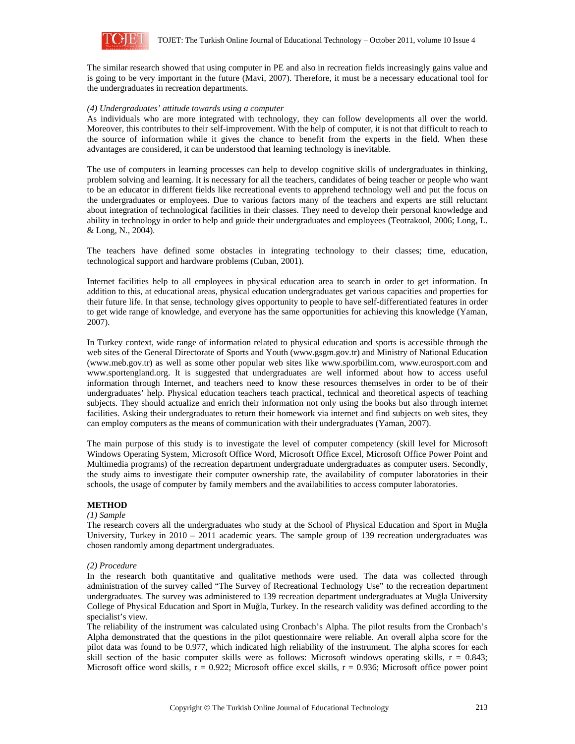

The similar research showed that using computer in PE and also in recreation fields increasingly gains value and is going to be very important in the future (Mavi, 2007). Therefore, it must be a necessary educational tool for the undergraduates in recreation departments.

## *(4) Undergraduates' attitude towards using a computer*

As individuals who are more integrated with technology, they can follow developments all over the world. Moreover, this contributes to their self-improvement. With the help of computer, it is not that difficult to reach to the source of information while it gives the chance to benefit from the experts in the field. When these advantages are considered, it can be understood that learning technology is inevitable.

The use of computers in learning processes can help to develop cognitive skills of undergraduates in thinking, problem solving and learning. It is necessary for all the teachers, candidates of being teacher or people who want to be an educator in different fields like recreational events to apprehend technology well and put the focus on the undergraduates or employees. Due to various factors many of the teachers and experts are still reluctant about integration of technological facilities in their classes. They need to develop their personal knowledge and ability in technology in order to help and guide their undergraduates and employees (Teotrakool, 2006; Long, L. & Long, N., 2004).

The teachers have defined some obstacles in integrating technology to their classes; time, education, technological support and hardware problems (Cuban, 2001).

Internet facilities help to all employees in physical education area to search in order to get information. In addition to this, at educational areas, physical education undergraduates get various capacities and properties for their future life. In that sense, technology gives opportunity to people to have self-differentiated features in order to get wide range of knowledge, and everyone has the same opportunities for achieving this knowledge (Yaman, 2007).

In Turkey context, wide range of information related to physical education and sports is accessible through the web sites of the General Directorate of Sports and Youth (www.gsgm.gov.tr) and Ministry of National Education (www.meb.gov.tr) as well as some other popular web sites like www.sporbilim.com, www.eurosport.com and www.sportengland.org. It is suggested that undergraduates are well informed about how to access useful information through Internet, and teachers need to know these resources themselves in order to be of their undergraduates' help. Physical education teachers teach practical, technical and theoretical aspects of teaching subjects. They should actualize and enrich their information not only using the books but also through internet facilities. Asking their undergraduates to return their homework via internet and find subjects on web sites, they can employ computers as the means of communication with their undergraduates (Yaman, 2007).

The main purpose of this study is to investigate the level of computer competency (skill level for Microsoft Windows Operating System, Microsoft Office Word, Microsoft Office Excel, Microsoft Office Power Point and Multimedia programs) of the recreation department undergraduate undergraduates as computer users. Secondly, the study aims to investigate their computer ownership rate, the availability of computer laboratories in their schools, the usage of computer by family members and the availabilities to access computer laboratories.

# **METHOD**

#### *(1) Sample*

The research covers all the undergraduates who study at the School of Physical Education and Sport in Muğla University, Turkey in 2010 – 2011 academic years. The sample group of 139 recreation undergraduates was chosen randomly among department undergraduates.

#### *(2) Procedure*

In the research both quantitative and qualitative methods were used. The data was collected through administration of the survey called "The Survey of Recreational Technology Use" to the recreation department undergraduates. The survey was administered to 139 recreation department undergraduates at Muğla University College of Physical Education and Sport in Muğla, Turkey. In the research validity was defined according to the specialist's view.

The reliability of the instrument was calculated using Cronbach's Alpha. The pilot results from the Cronbach's Alpha demonstrated that the questions in the pilot questionnaire were reliable. An overall alpha score for the pilot data was found to be 0.977, which indicated high reliability of the instrument. The alpha scores for each skill section of the basic computer skills were as follows: Microsoft windows operating skills,  $r = 0.843$ ; Microsoft office word skills,  $r = 0.922$ ; Microsoft office excel skills,  $r = 0.936$ ; Microsoft office power point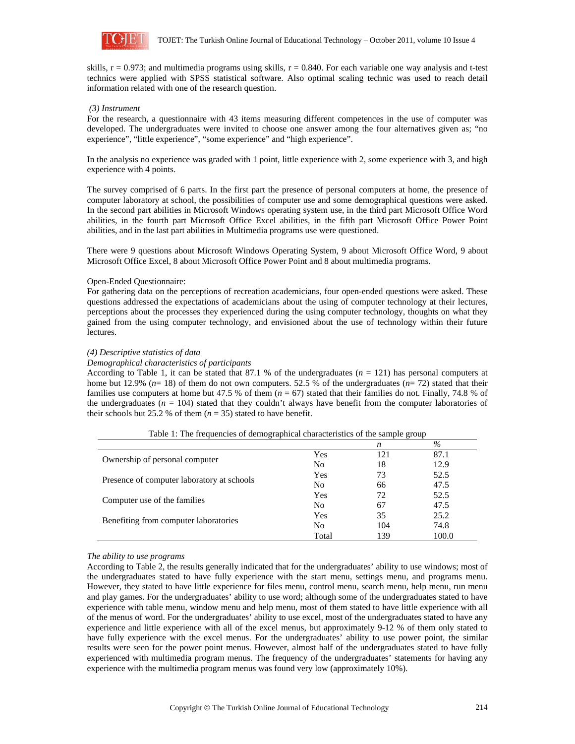

skills,  $r = 0.973$ ; and multimedia programs using skills,  $r = 0.840$ . For each variable one way analysis and t-test technics were applied with SPSS statistical software. Also optimal scaling technic was used to reach detail information related with one of the research question.

# *(3) Instrument*

For the research, a questionnaire with 43 items measuring different competences in the use of computer was developed. The undergraduates were invited to choose one answer among the four alternatives given as; "no experience", "little experience", "some experience" and "high experience".

In the analysis no experience was graded with 1 point, little experience with 2, some experience with 3, and high experience with 4 points.

The survey comprised of 6 parts. In the first part the presence of personal computers at home, the presence of computer laboratory at school, the possibilities of computer use and some demographical questions were asked. In the second part abilities in Microsoft Windows operating system use, in the third part Microsoft Office Word abilities, in the fourth part Microsoft Office Excel abilities, in the fifth part Microsoft Office Power Point abilities, and in the last part abilities in Multimedia programs use were questioned.

There were 9 questions about Microsoft Windows Operating System, 9 about Microsoft Office Word, 9 about Microsoft Office Excel, 8 about Microsoft Office Power Point and 8 about multimedia programs.

# Open-Ended Questionnaire:

For gathering data on the perceptions of recreation academicians, four open-ended questions were asked. These questions addressed the expectations of academicians about the using of computer technology at their lectures, perceptions about the processes they experienced during the using computer technology, thoughts on what they gained from the using computer technology, and envisioned about the use of technology within their future lectures.

# *(4) Descriptive statistics of data*

# *Demographical characteristics of participants*

According to Table 1, it can be stated that 87.1 % of the undergraduates  $(n = 121)$  has personal computers at home but 12.9% ( $n=18$ ) of them do not own computers. 52.5 % of the undergraduates ( $n=72$ ) stated that their families use computers at home but 47.5 % of them ( $n = 67$ ) stated that their families do not. Finally, 74.8 % of the undergraduates ( $n = 104$ ) stated that they couldn't always have benefit from the computer laboratories of their schools but 25.2 % of them  $(n = 35)$  stated to have benefit.

|                                            |                | n   | $\%$  |
|--------------------------------------------|----------------|-----|-------|
| Ownership of personal computer             | Yes            | 121 | 87.1  |
|                                            | N <sub>0</sub> | 18  | 12.9  |
| Presence of computer laboratory at schools | Yes            | 73  | 52.5  |
|                                            | No             | 66  | 47.5  |
| Computer use of the families               | Yes            | 72  | 52.5  |
|                                            | N <sub>0</sub> | 67  | 47.5  |
| Benefiting from computer laboratories      | Yes            | 35  | 25.2  |
|                                            | No             | 104 | 74.8  |
|                                            | Total          | 139 | 100.0 |

Table 1: The frequencies of demographical characteristics of the sample group

#### *The ability to use programs*

According to Table 2, the results generally indicated that for the undergraduates' ability to use windows; most of the undergraduates stated to have fully experience with the start menu, settings menu, and programs menu. However, they stated to have little experience for files menu, control menu, search menu, help menu, run menu and play games. For the undergraduates' ability to use word; although some of the undergraduates stated to have experience with table menu, window menu and help menu, most of them stated to have little experience with all of the menus of word. For the undergraduates' ability to use excel, most of the undergraduates stated to have any experience and little experience with all of the excel menus, but approximately 9-12 % of them only stated to have fully experience with the excel menus. For the undergraduates' ability to use power point, the similar results were seen for the power point menus. However, almost half of the undergraduates stated to have fully experienced with multimedia program menus. The frequency of the undergraduates' statements for having any experience with the multimedia program menus was found very low (approximately 10%).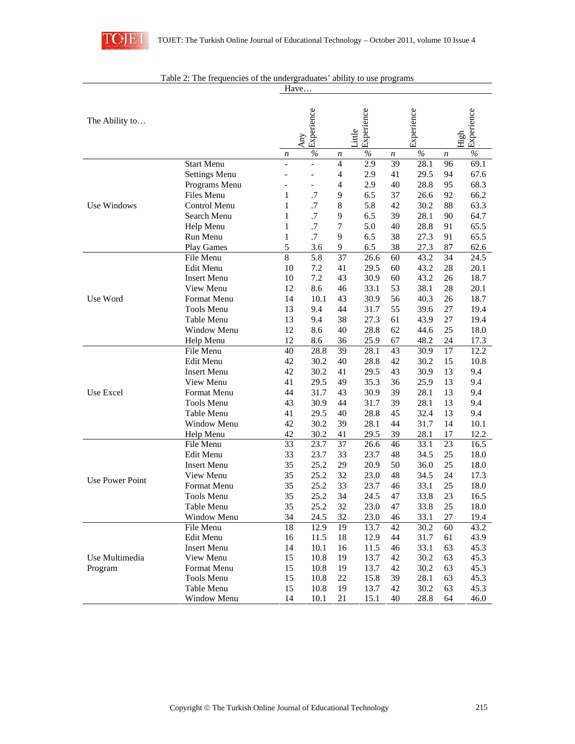

|                        |                                   |                          | Have                     |                                  |            |          |              |          |                    |
|------------------------|-----------------------------------|--------------------------|--------------------------|----------------------------------|------------|----------|--------------|----------|--------------------|
| The Ability to         |                                   | Any                      | Experience               | Little                           | Experience |          | Experience   |          | Experience<br>High |
|                        |                                   | n                        | $\%$                     | n                                | $\%$       | п        | $\%$         | n        | $\frac{0}{0}$      |
|                        | <b>Start Menu</b>                 | $\overline{\phantom{0}}$ | $\overline{a}$           | $\overline{4}$                   | 2.9        | 39       | 28.1         | 96       | 69.1               |
|                        | <b>Settings Menu</b>              | $\overline{a}$           | $\overline{\phantom{a}}$ | $\overline{4}$<br>$\overline{4}$ | 2.9        | 41       | 29.5         | 94       | 67.6               |
|                        | Programs Menu                     | $\overline{a}$<br>1      | $\blacksquare$           |                                  | 2.9        | 40       | 28.8         | 95       | 68.3               |
| Use Windows            | Files Menu<br><b>Control Menu</b> | 1                        | .7<br>.7                 | 9<br>8                           | 6.5<br>5.8 | 37<br>42 | 26.6<br>30.2 | 92<br>88 | 66.2<br>63.3       |
|                        | Search Menu                       | 1                        | .7                       | 9                                | 6.5        | 39       | 28.1         | 90       | 64.7               |
|                        | Help Menu                         | 1                        | $\cdot$ 7                | 7                                | 5.0        | 40       | 28.8         | 91       | 65.5               |
|                        | Run Menu                          | $\mathbf{1}$             | .7                       | 9                                | 6.5        | 38       | 27.3         | 91       | 65.5               |
|                        | <b>Play Games</b>                 | 5                        | 3.6                      | 9                                | 6.5        | 38       | 27.3         | 87       | 62.6               |
|                        | File Menu                         | 8                        | 5.8                      | 37                               | 26.6       | 60       | 43.2         | 34       | 24.5               |
|                        | Edit Menu                         | 10                       | 7.2                      | 41                               | 29.5       | 60       | 43.2         | 28       | 20.1               |
|                        | <b>Insert Menu</b>                | 10                       | 7.2                      | 43                               | 30.9       | 60       | 43.2         | 26       | 18.7               |
|                        | View Menu                         | 12                       | 8.6                      | 46                               | 33.1       | 53       | 38.1         | 28       | 20.1               |
| Use Word               | Format Menu                       | 14                       | 10.1                     | 43                               | 30.9       | 56       | 40.3         | 26       | 18.7               |
|                        | <b>Tools Menu</b>                 | 13                       | 9.4                      | 44                               | 31.7       | 55       | 39.6         | 27       | 19.4               |
|                        | Table Menu                        | 13                       | 9.4                      | 38                               | 27.3       | 61       | 43.9         | 27       | 19.4               |
|                        | <b>Window Menu</b>                | 12                       | 8.6                      | 40                               | 28.8       | 62       | 44.6         | 25       | 18.0               |
|                        | Help Menu                         | 12                       | 8.6                      | 36                               | 25.9       | 67       | 48.2         | 24       | 17.3               |
|                        | File Menu                         | 40                       | 28.8                     | 39                               | 28.1       | 43       | 30.9         | 17       | 12.2               |
|                        | Edit Menu                         | 42                       | 30.2                     | 40                               | 28.8       | 42       | 30.2         | 15       | 10.8               |
|                        | <b>Insert Menu</b>                | 42                       | 30.2                     | 41                               | 29.5       | 43       | 30.9         | 13       | 9.4                |
|                        | View Menu                         | 41                       | 29.5                     | 49                               | 35.3       | 36       | 25.9         | 13       | 9.4                |
| Use Excel              | Format Menu                       | 44                       | 31.7                     | 43                               | 30.9       | 39       | 28.1         | 13       | 9.4                |
|                        | <b>Tools Menu</b>                 | 43                       | 30.9                     | 44                               | 31.7       | 39       | 28.1         | 13       | 9.4                |
|                        | Table Menu                        | 41                       | 29.5                     | 40                               | 28.8       | 45       | 32.4         | 13       | 9.4                |
|                        | Window Menu                       | 42                       | 30.2                     | 39                               | 28.1       | 44       | 31.7         | 14       | 10.1               |
|                        | Help Menu                         | 42                       | 30.2                     | 41                               | 29.5       | 39       | 28.1         | 17       | 12.2               |
|                        | File Menu                         | 33                       | 23.7                     | 37                               | 26.6       | 46       | 33.1         | 23       | 16.5               |
|                        | Edit Menu                         | 33                       | 23.7                     | 33                               | 23.7       | 48       | 34.5         | 25       | 18.0               |
|                        | <b>Insert Menu</b>                | 35                       | 25.2                     | 29                               | 20.9       | 50       | 36.0         | 25       | 18.0               |
| <b>Use Power Point</b> | View Menu                         | 35                       | 25.2                     | 32                               | 23.0       | 48       | 34.5         | 24       | 17.3               |
|                        | Format Menu                       | 35                       | 25.2                     | 33                               | 23.7       | 46       | 33.1         | 25       | 18.0               |
|                        | Tools Menu                        | 35                       | 25.2                     | 34                               | 24.5       | 47       | 33.8         | 23       | 16.5               |
|                        | Table Menu                        | 35                       | 25.2                     | 32                               | 23.0       | 47       | 33.8         | 25       | 18.0               |
|                        | Window Menu                       | 34                       | 24.5                     | 32                               | 23.0       | 46       | 33.1         | 27       | 19.4               |
|                        | File Menu                         | 18                       | 12.9                     | 19                               | 13.7       | 42       | 30.2         | 60       | 43.2               |
|                        | Edit Menu                         | 16                       | 11.5                     | 18                               | 12.9       | 44       | 31.7         | 61       | 43.9               |
|                        | <b>Insert Menu</b>                | 14                       | 10.1                     | 16                               | 11.5       | 46       | 33.1         | 63       | 45.3               |
| Use Multimedia         | View Menu                         | 15                       | 10.8                     | 19                               | 13.7       | 42       | 30.2         | 63       | 45.3               |
| Program                | Format Menu                       | 15                       | 10.8                     | 19                               | 13.7       | 42       | 30.2         | 63       | 45.3               |
|                        | Tools Menu                        | 15                       | 10.8                     | 22                               | 15.8       | 39       | 28.1         | 63       | 45.3               |
|                        | Table Menu                        | 15                       | 10.8                     | 19                               | 13.7       | 42       | 30.2         | 63       | 45.3               |
|                        | Window Menu                       | 14                       | 10.1                     | 21                               | 15.1       | 40       | 28.8         | 64       | 46.0               |

| Table 2: The frequencies of the undergraduates' ability to use programs |  |
|-------------------------------------------------------------------------|--|
|-------------------------------------------------------------------------|--|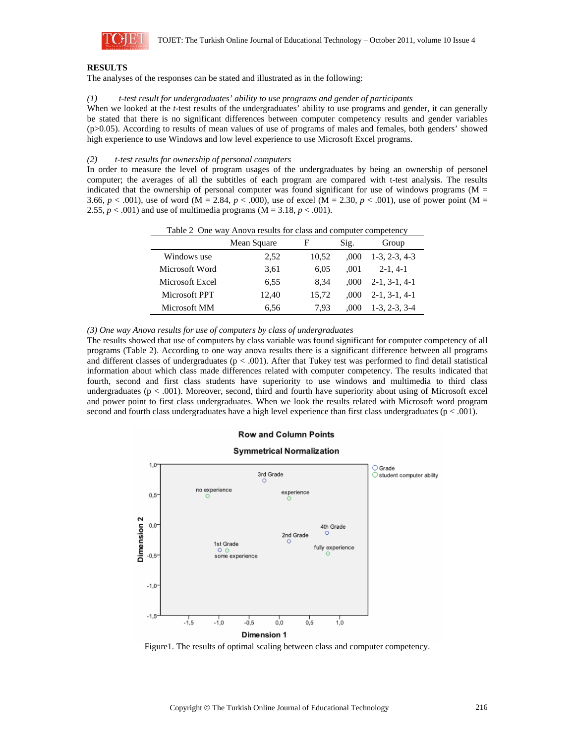

# **RESULTS**

The analyses of the responses can be stated and illustrated as in the following:

#### *(1) t-test result for undergraduates' ability to use programs and gender of participants*

When we looked at the *t*-test results of the undergraduates' ability to use programs and gender, it can generally be stated that there is no significant differences between computer competency results and gender variables (p>0.05). According to results of mean values of use of programs of males and females, both genders' showed high experience to use Windows and low level experience to use Microsoft Excel programs.

#### *(2) t-test results for ownership of personal computers*

In order to measure the level of program usages of the undergraduates by being an ownership of personel computer; the averages of all the subtitles of each program are compared with t-test analysis. The results indicated that the ownership of personal computer was found significant for use of windows programs ( $M =$ 3.66,  $p < .001$ ), use of word (M = 2.84,  $p < .000$ ), use of excel (M = 2.30,  $p < .001$ ), use of power point (M = 2.55,  $p < .001$ ) and use of multimedia programs (M = 3.18,  $p < .001$ ).

|                 | Table 2 One way Tulbya results for class and computer competency<br>Mean Square | F     | Sig.  | Group           |
|-----------------|---------------------------------------------------------------------------------|-------|-------|-----------------|
| Windows use     | 2,52                                                                            | 10.52 | .000  | $1-3, 2-3, 4-3$ |
| Microsoft Word  | 3,61                                                                            | 6.05  | .001  | $2-1.4-1$       |
| Microsoft Excel | 6.55                                                                            | 8.34  | .000  | $2-1, 3-1, 4-1$ |
| Microsoft PPT   | 12.40                                                                           | 15.72 | (000) | $2-1, 3-1, 4-1$ |
| Microsoft MM    | 6.56                                                                            | 7.93  | .000  | $1-3, 2-3, 3-4$ |

Table 2 One way Anova results for class and computer competency

*(3) One way Anova results for use of computers by class of undergraduates* 

The results showed that use of computers by class variable was found significant for computer competency of all programs (Table 2). According to one way anova results there is a significant difference between all programs and different classes of undergraduates ( $p < .001$ ). After that Tukey test was performed to find detail statistical information about which class made differences related with computer competency. The results indicated that fourth, second and first class students have superiority to use windows and multimedia to third class undergraduates (p < .001). Moreover, second, third and fourth have superiority about using of Microsoft excel and power point to first class undergraduates. When we look the results related with Microsoft word program second and fourth class undergraduates have a high level experience than first class undergraduates ( $p < .001$ ).

# **Row and Column Points**

#### **Symmetrical Normalization**  $1.0$  $\bigcirc$  Grade 3rd Grade  $\bigcirc$  student computer ability no experience experience  $0.5 -$ Dimension<sub>2</sub>  $0,0^-$ 4th Grade 2nd Grade 1st Grade fully experience  $-0.5$ some experience  $-1.0$  $-1.5$  $-1.5$  $-1.0$  $-0.5$ o.o  $0.5$  $1,0$ Dimension 1

Figure1. The results of optimal scaling between class and computer competency.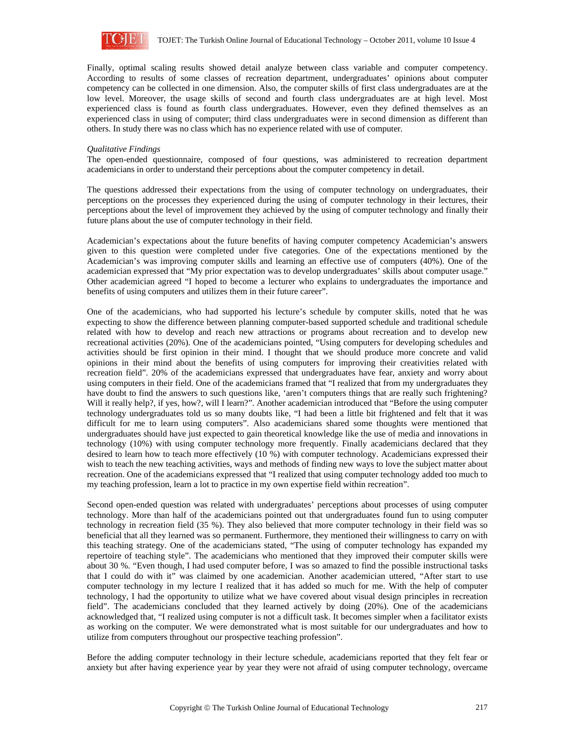

Finally, optimal scaling results showed detail analyze between class variable and computer competency. According to results of some classes of recreation department, undergraduates' opinions about computer competency can be collected in one dimension. Also, the computer skills of first class undergraduates are at the low level. Moreover, the usage skills of second and fourth class undergraduates are at high level. Most experienced class is found as fourth class undergraduates. However, even they defined themselves as an experienced class in using of computer; third class undergraduates were in second dimension as different than others. In study there was no class which has no experience related with use of computer.

#### *Qualitative Findings*

The open-ended questionnaire, composed of four questions, was administered to recreation department academicians in order to understand their perceptions about the computer competency in detail.

The questions addressed their expectations from the using of computer technology on undergraduates, their perceptions on the processes they experienced during the using of computer technology in their lectures, their perceptions about the level of improvement they achieved by the using of computer technology and finally their future plans about the use of computer technology in their field.

Academician's expectations about the future benefits of having computer competency Academician's answers given to this question were completed under five categories. One of the expectations mentioned by the Academician's was improving computer skills and learning an effective use of computers (40%). One of the academician expressed that "My prior expectation was to develop undergraduates' skills about computer usage." Other academician agreed "I hoped to become a lecturer who explains to undergraduates the importance and benefits of using computers and utilizes them in their future career".

One of the academicians, who had supported his lecture's schedule by computer skills, noted that he was expecting to show the difference between planning computer-based supported schedule and traditional schedule related with how to develop and reach new attractions or programs about recreation and to develop new recreational activities (20%). One of the academicians pointed, "Using computers for developing schedules and activities should be first opinion in their mind. I thought that we should produce more concrete and valid opinions in their mind about the benefits of using computers for improving their creativities related with recreation field". 20% of the academicians expressed that undergraduates have fear, anxiety and worry about using computers in their field. One of the academicians framed that "I realized that from my undergraduates they have doubt to find the answers to such questions like, 'aren't computers things that are really such frightening? Will it really help?, if yes, how?, will I learn?". Another academician introduced that "Before the using computer technology undergraduates told us so many doubts like, "I had been a little bit frightened and felt that it was difficult for me to learn using computers". Also academicians shared some thoughts were mentioned that undergraduates should have just expected to gain theoretical knowledge like the use of media and innovations in technology (10%) with using computer technology more frequently. Finally academicians declared that they desired to learn how to teach more effectively (10 %) with computer technology. Academicians expressed their wish to teach the new teaching activities, ways and methods of finding new ways to love the subject matter about recreation. One of the academicians expressed that "I realized that using computer technology added too much to my teaching profession, learn a lot to practice in my own expertise field within recreation".

Second open-ended question was related with undergraduates' perceptions about processes of using computer technology. More than half of the academicians pointed out that undergraduates found fun to using computer technology in recreation field (35 %). They also believed that more computer technology in their field was so beneficial that all they learned was so permanent. Furthermore, they mentioned their willingness to carry on with this teaching strategy. One of the academicians stated, "The using of computer technology has expanded my repertoire of teaching style". The academicians who mentioned that they improved their computer skills were about 30 %. "Even though, I had used computer before, I was so amazed to find the possible instructional tasks that I could do with it" was claimed by one academician. Another academician uttered, "After start to use computer technology in my lecture I realized that it has added so much for me. With the help of computer technology, I had the opportunity to utilize what we have covered about visual design principles in recreation field". The academicians concluded that they learned actively by doing (20%). One of the academicians acknowledged that, "I realized using computer is not a difficult task. It becomes simpler when a facilitator exists as working on the computer. We were demonstrated what is most suitable for our undergraduates and how to utilize from computers throughout our prospective teaching profession".

Before the adding computer technology in their lecture schedule, academicians reported that they felt fear or anxiety but after having experience year by year they were not afraid of using computer technology, overcame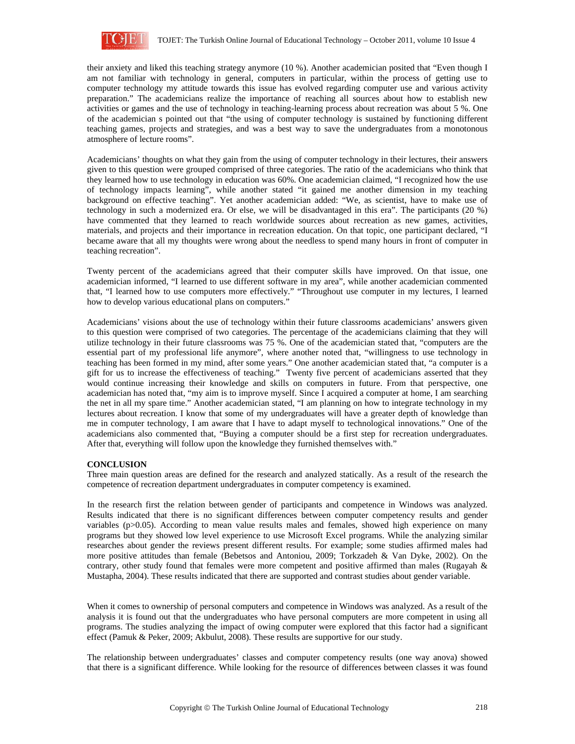

their anxiety and liked this teaching strategy anymore (10 %). Another academician posited that "Even though I am not familiar with technology in general, computers in particular, within the process of getting use to computer technology my attitude towards this issue has evolved regarding computer use and various activity preparation." The academicians realize the importance of reaching all sources about how to establish new activities or games and the use of technology in teaching-learning process about recreation was about 5 %. One of the academician s pointed out that "the using of computer technology is sustained by functioning different teaching games, projects and strategies, and was a best way to save the undergraduates from a monotonous atmosphere of lecture rooms".

Academicians' thoughts on what they gain from the using of computer technology in their lectures, their answers given to this question were grouped comprised of three categories. The ratio of the academicians who think that they learned how to use technology in education was 60%. One academician claimed, "I recognized how the use of technology impacts learning", while another stated "it gained me another dimension in my teaching background on effective teaching". Yet another academician added: "We, as scientist, have to make use of technology in such a modernized era. Or else, we will be disadvantaged in this era". The participants (20 %) have commented that they learned to reach worldwide sources about recreation as new games, activities, materials, and projects and their importance in recreation education. On that topic, one participant declared, "I became aware that all my thoughts were wrong about the needless to spend many hours in front of computer in teaching recreation".

Twenty percent of the academicians agreed that their computer skills have improved. On that issue, one academician informed, "I learned to use different software in my area", while another academician commented that, "I learned how to use computers more effectively." "Throughout use computer in my lectures, I learned how to develop various educational plans on computers."

Academicians' visions about the use of technology within their future classrooms academicians' answers given to this question were comprised of two categories. The percentage of the academicians claiming that they will utilize technology in their future classrooms was 75 %. One of the academician stated that, "computers are the essential part of my professional life anymore", where another noted that, "willingness to use technology in teaching has been formed in my mind, after some years." One another academician stated that, "a computer is a gift for us to increase the effectiveness of teaching." Twenty five percent of academicians asserted that they would continue increasing their knowledge and skills on computers in future. From that perspective, one academician has noted that, "my aim is to improve myself. Since I acquired a computer at home, I am searching the net in all my spare time." Another academician stated, "I am planning on how to integrate technology in my lectures about recreation. I know that some of my undergraduates will have a greater depth of knowledge than me in computer technology, I am aware that I have to adapt myself to technological innovations." One of the academicians also commented that, "Buying a computer should be a first step for recreation undergraduates. After that, everything will follow upon the knowledge they furnished themselves with."

# **CONCLUSION**

Three main question areas are defined for the research and analyzed statically. As a result of the research the competence of recreation department undergraduates in computer competency is examined.

In the research first the relation between gender of participants and competence in Windows was analyzed. Results indicated that there is no significant differences between computer competency results and gender variables (p>0.05). According to mean value results males and females, showed high experience on many programs but they showed low level experience to use Microsoft Excel programs. While the analyzing similar researches about gender the reviews present different results. For example; some studies affirmed males had more positive attitudes than female (Bebetsos and Antoniou, 2009; Torkzadeh & Van Dyke, 2002). On the contrary, other study found that females were more competent and positive affirmed than males (Rugayah & Mustapha, 2004). These results indicated that there are supported and contrast studies about gender variable.

When it comes to ownership of personal computers and competence in Windows was analyzed. As a result of the analysis it is found out that the undergraduates who have personal computers are more competent in using all programs. The studies analyzing the impact of owing computer were explored that this factor had a significant effect (Pamuk & Peker, 2009; Akbulut, 2008). These results are supportive for our study.

The relationship between undergraduates' classes and computer competency results (one way anova) showed that there is a significant difference. While looking for the resource of differences between classes it was found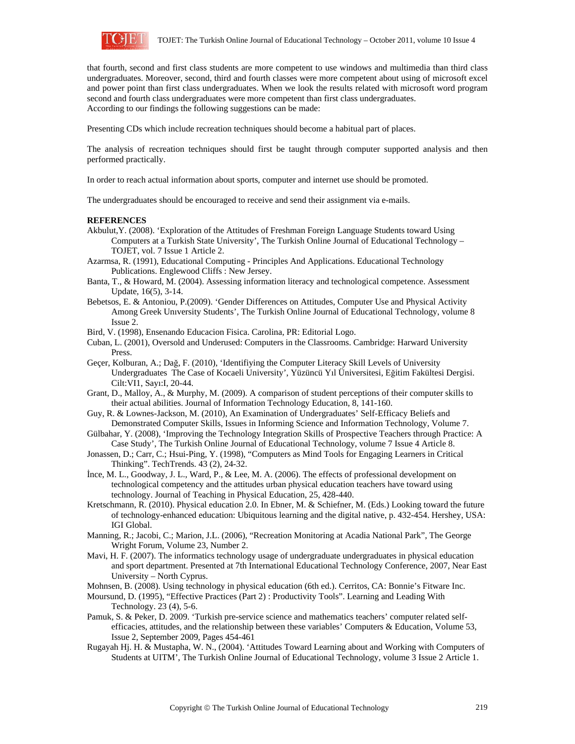

that fourth, second and first class students are more competent to use windows and multimedia than third class undergraduates. Moreover, second, third and fourth classes were more competent about using of microsoft excel and power point than first class undergraduates. When we look the results related with microsoft word program second and fourth class undergraduates were more competent than first class undergraduates. According to our findings the following suggestions can be made:

Presenting CDs which include recreation techniques should become a habitual part of places.

The analysis of recreation techniques should first be taught through computer supported analysis and then performed practically.

In order to reach actual information about sports, computer and internet use should be promoted.

The undergraduates should be encouraged to receive and send their assignment via e-mails.

#### **REFERENCES**

Akbulut,Y. (2008). 'Exploration of the Attitudes of Freshman Foreign Language Students toward Using Computers at a Turkish State University', The Turkish Online Journal of Educational Technology – TOJET, vol. 7 Issue 1 Article 2.

Azarmsa, R. (1991), Educational Computing - Principles And Applications. Educational Technology Publications. Englewood Cliffs : New Jersey.

- Banta, T., & Howard, M. (2004). Assessing information literacy and technological competence. Assessment Update, 16(5), 3-14.
- Bebetsos, E. & Antoniou, P.(2009). 'Gender Differences on Attitudes, Computer Use and Physical Activity Among Greek Unıversity Students', The Turkish Online Journal of Educational Technology, volume 8 Issue 2.
- Bird, V. (1998), Ensenando Educacion Fisica. Carolina, PR: Editorial Logo.
- Cuban, L. (2001), Oversold and Underused: Computers in the Classrooms. Cambridge: Harward University Press.
- Geçer, Kolburan, A.; Dağ, F. (2010), 'Identifiying the Computer Literacy Skill Levels of University Undergraduates The Case of Kocaeli University', Yüzüncü Yıl Üniversitesi, Eğitim Fakültesi Dergisi. Cilt:VI1, Sayı:I, 20-44.
- Grant, D., Malloy, A., & Murphy, M. (2009). A comparison of student perceptions of their computer skills to their actual abilities. Journal of Information Technology Education, 8, 141-160.
- Guy, R. & Lownes-Jackson, M. (2010), An Examination of Undergraduates' Self-Efficacy Beliefs and Demonstrated Computer Skills, Issues in Informing Science and Information Technology, Volume 7.
- Gülbahar, Y. (2008), 'Improving the Technology Integration Skills of Prospective Teachers through Practice: A Case Study', The Turkish Online Journal of Educational Technology, volume 7 Issue 4 Article 8.
- Jonassen, D.; Carr, C.; Hsui-Ping, Y. (1998), "Computers as Mind Tools for Engaging Learners in Critical Thinking". TechTrends. 43 (2), 24-32.
- İnce, M. L., Goodway, J. L., Ward, P., & Lee, M. A. (2006). The effects of professional development on technological competency and the attitudes urban physical education teachers have toward using technology. Journal of Teaching in Physical Education, 25, 428-440.
- Kretschmann, R. (2010). Physical education 2.0. In Ebner, M. & Schiefner, M. (Eds.) Looking toward the future of technology-enhanced education: Ubiquitous learning and the digital native, p. 432-454. Hershey, USA: IGI Global.
- Manning, R.; Jacobi, C.; Marion, J.L. (2006), "Recreation Monitoring at Acadia National Park", The George Wright Forum, Volume 23, Number 2.
- Mavi, H. F. (2007). The informatics technology usage of undergraduate undergraduates in physical education and sport department. Presented at 7th International Educational Technology Conference, 2007, Near East University – North Cyprus.

Mohnsen, B. (2008). Using technology in physical education (6th ed.). Cerritos, CA: Bonnie's Fitware Inc.

- Moursund, D. (1995), "Effective Practices (Part 2) : Productivity Tools". Learning and Leading With Technology. 23 (4), 5-6.
- Pamuk, S. & Peker, D. 2009. 'Turkish pre-service science and mathematics teachers' computer related selfefficacies, attitudes, and the relationship between these variables' Computers & Education, Volume 53, Issue 2, September 2009, Pages 454-461
- Rugayah Hj. H. & Mustapha, W. N., (2004). 'Attitudes Toward Learning about and Working with Computers of Students at UITM', The Turkish Online Journal of Educational Technology, volume 3 Issue 2 Article 1.